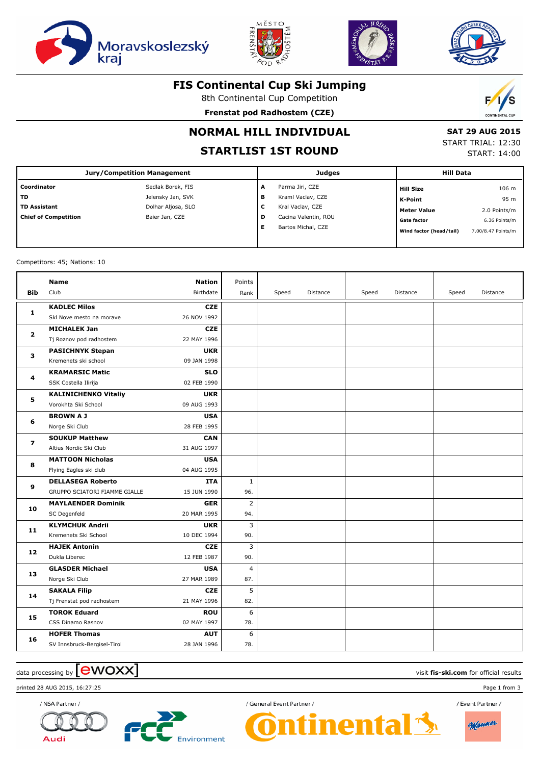







#### **FIS Continental Cup Ski Jumping**

8th Continental Cup Competition

**Frenstat pod Radhostem (CZE)**



# **NORMAL HILL INDIVIDUAL**

# **STARTLIST 1ST ROUND**

 **SAT 29 AUG 2015**

START TRIAL: 12:30 START: 14:00

| Jury/Competition Management |                    | <b>Judges</b> |                      |  | <b>Hill Data</b>        |                    |  |
|-----------------------------|--------------------|---------------|----------------------|--|-------------------------|--------------------|--|
| Coordinator                 | Sedlak Borek, FIS  | A             | Parma Jiri, CZE      |  | <b>Hill Size</b>        | 106 m              |  |
| TD.                         | Jelensky Jan, SVK  | в             | Kraml Vaclav, CZE    |  | K-Point                 | 95 m               |  |
| <b>TD Assistant</b>         | Dolhar Aljosa, SLO | c             | Kral Vaclav, CZE     |  | Meter Value             | 2.0 Points/m       |  |
| <b>Chief of Competition</b> | Baier Jan, CZE     | D             | Cacina Valentin, ROU |  | <b>Gate factor</b>      | 6.36 Points/m      |  |
|                             |                    | Е             | Bartos Michal, CZE   |  | Wind factor (head/tail) | 7.00/8.47 Points/m |  |
|                             |                    |               |                      |  |                         |                    |  |

Competitors: 45; Nations: 10

| <b>Bib</b>     | Name<br>Club                                              | <b>Nation</b><br>Birthdate | Points<br>Rank        | Speed | Distance | Speed | Distance | Speed | Distance |
|----------------|-----------------------------------------------------------|----------------------------|-----------------------|-------|----------|-------|----------|-------|----------|
| 1              | <b>KADLEC Milos</b><br>Skl Nove mesto na morave           | <b>CZE</b><br>26 NOV 1992  |                       |       |          |       |          |       |          |
| $\mathbf{2}$   | <b>MICHALEK Jan</b><br>Tj Roznov pod radhostem            | <b>CZE</b><br>22 MAY 1996  |                       |       |          |       |          |       |          |
| 3              | <b>PASICHNYK Stepan</b><br>Kremenets ski school           | <b>UKR</b><br>09 JAN 1998  |                       |       |          |       |          |       |          |
| 4              | <b>KRAMARSIC Matic</b><br>SSK Costella Ilirija            | <b>SLO</b><br>02 FEB 1990  |                       |       |          |       |          |       |          |
| 5              | <b>KALINICHENKO Vitaliy</b><br>Vorokhta Ski School        | <b>UKR</b><br>09 AUG 1993  |                       |       |          |       |          |       |          |
| 6              | <b>BROWNAJ</b><br>Norge Ski Club                          | <b>USA</b><br>28 FEB 1995  |                       |       |          |       |          |       |          |
| $\overline{ }$ | <b>SOUKUP Matthew</b><br>Altius Nordic Ski Club           | <b>CAN</b><br>31 AUG 1997  |                       |       |          |       |          |       |          |
| 8              | <b>MATTOON Nicholas</b><br>Flying Eagles ski club         | <b>USA</b><br>04 AUG 1995  |                       |       |          |       |          |       |          |
| 9              | <b>DELLASEGA Roberto</b><br>GRUPPO SCIATORI FIAMME GIALLE | <b>ITA</b><br>15 JUN 1990  | $\mathbf{1}$<br>96.   |       |          |       |          |       |          |
| 10             | <b>MAYLAENDER Dominik</b><br>SC Degenfeld                 | <b>GER</b><br>20 MAR 1995  | $\overline{2}$<br>94. |       |          |       |          |       |          |
| 11             | <b>KLYMCHUK Andrii</b><br>Kremenets Ski School            | <b>UKR</b><br>10 DEC 1994  | 3<br>90.              |       |          |       |          |       |          |
| 12             | <b>HAJEK Antonin</b><br>Dukla Liberec                     | <b>CZE</b><br>12 FEB 1987  | 3<br>90.              |       |          |       |          |       |          |
| 13             | <b>GLASDER Michael</b><br>Norge Ski Club                  | <b>USA</b><br>27 MAR 1989  | $\overline{4}$<br>87. |       |          |       |          |       |          |
| 14             | <b>SAKALA Filip</b><br>Tj Frenstat pod radhostem          | <b>CZE</b><br>21 MAY 1996  | 5<br>82.              |       |          |       |          |       |          |
| 15             | <b>TOROK Eduard</b><br>CSS Dinamo Rasnov                  | <b>ROU</b><br>02 MAY 1997  | 6<br>78.              |       |          |       |          |       |          |
| 16             | <b>HOFER Thomas</b><br>SV Innsbruck-Bergisel-Tirol        | <b>AUT</b><br>28 JAN 1996  | 6<br>78.              |       |          |       |          |       |          |

# data processing by **CWOXX** and  $\overline{C}$  and  $\overline{C}$  and  $\overline{C}$  and  $\overline{C}$  and  $\overline{C}$  and  $\overline{C}$  and  $\overline{C}$  and  $\overline{C}$  and  $\overline{C}$  and  $\overline{C}$  and  $\overline{C}$  and  $\overline{C}$  and  $\overline{C}$  and  $\overline{C}$  and  $\overline{C}$

printed 28 AUG 2015, 16:27:25 Page 1 from 3

**Audi** 





/ General Event Partner /

inental

/ Event Partner /

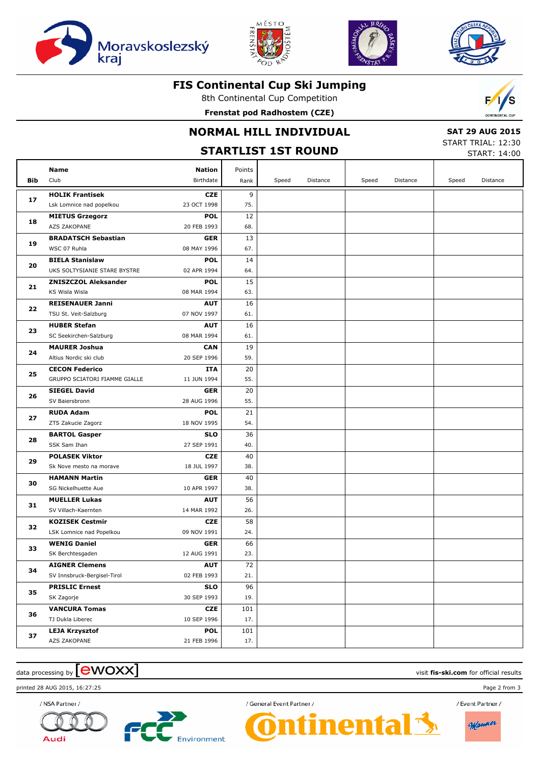







#### **FIS Continental Cup Ski Jumping**

8th Continental Cup Competition

**Frenstat pod Radhostem (CZE)**



### **NORMAL HILL INDIVIDUAL**

 **SAT 29 AUG 2015** START TRIAL: 12:30

|     | <b>STARTLIST 1ST ROUND</b>                      |                    |           |       |          |       |          |       | <b>START: 14:00</b> |  |  |
|-----|-------------------------------------------------|--------------------|-----------|-------|----------|-------|----------|-------|---------------------|--|--|
|     | Name                                            | <b>Nation</b>      | Points    |       |          |       |          |       |                     |  |  |
| Bib | Club                                            | Birthdate          | Rank      | Speed | Distance | Speed | Distance | Speed | Distance            |  |  |
| 17  | <b>HOLIK Frantisek</b>                          | <b>CZE</b>         | 9         |       |          |       |          |       |                     |  |  |
|     | Lsk Lomnice nad popelkou                        | 23 OCT 1998        | 75.       |       |          |       |          |       |                     |  |  |
| 18  | <b>MIETUS Grzegorz</b>                          | <b>POL</b>         | 12        |       |          |       |          |       |                     |  |  |
|     | AZS ZAKOPANE                                    | 20 FEB 1993        | 68.       |       |          |       |          |       |                     |  |  |
| 19  | <b>BRADATSCH Sebastian</b>                      | <b>GER</b>         | 13        |       |          |       |          |       |                     |  |  |
|     | WSC 07 Ruhla                                    | 08 MAY 1996        | 67.       |       |          |       |          |       |                     |  |  |
| 20  | <b>BIELA Stanislaw</b>                          | <b>POL</b>         | 14        |       |          |       |          |       |                     |  |  |
|     | UKS SOLTYSIANIE STARE BYSTRE                    | 02 APR 1994        | 64.       |       |          |       |          |       |                     |  |  |
| 21  | <b>ZNISZCZOL Aleksander</b>                     | <b>POL</b>         | 15        |       |          |       |          |       |                     |  |  |
|     | KS Wisla Wisla                                  | 08 MAR 1994        | 63.       |       |          |       |          |       |                     |  |  |
| 22  | <b>REISENAUER Janni</b>                         | <b>AUT</b>         | 16        |       |          |       |          |       |                     |  |  |
|     | TSU St. Veit-Salzburg                           | 07 NOV 1997        | 61.       |       |          |       |          |       |                     |  |  |
| 23  | <b>HUBER Stefan</b>                             | <b>AUT</b>         | 16        |       |          |       |          |       |                     |  |  |
|     | SC Seekirchen-Salzburg                          | 08 MAR 1994        | 61.       |       |          |       |          |       |                     |  |  |
| 24  | <b>MAURER Joshua</b>                            | <b>CAN</b>         | 19        |       |          |       |          |       |                     |  |  |
|     | Altius Nordic ski club<br><b>CECON Federico</b> | 20 SEP 1996        | 59.<br>20 |       |          |       |          |       |                     |  |  |
| 25  | GRUPPO SCIATORI FIAMME GIALLE                   | ITA<br>11 JUN 1994 | 55.       |       |          |       |          |       |                     |  |  |
| 26  | <b>SIEGEL David</b>                             | <b>GER</b>         | 20        |       |          |       |          |       |                     |  |  |
|     | SV Baiersbronn                                  | 28 AUG 1996        | 55.       |       |          |       |          |       |                     |  |  |
| 27  | <b>RUDA Adam</b>                                | <b>POL</b>         | 21        |       |          |       |          |       |                     |  |  |
|     | ZTS Zakucie Zagorz                              | 18 NOV 1995        | 54.       |       |          |       |          |       |                     |  |  |
|     | <b>BARTOL Gasper</b>                            | <b>SLO</b>         | 36        |       |          |       |          |       |                     |  |  |
| 28  | SSK Sam Ihan                                    | 27 SEP 1991        | 40.       |       |          |       |          |       |                     |  |  |
|     | <b>POLASEK Viktor</b>                           | <b>CZE</b>         | 40        |       |          |       |          |       |                     |  |  |
| 29  | Sk Nove mesto na morave                         | 18 JUL 1997        | 38.       |       |          |       |          |       |                     |  |  |
|     | <b>HAMANN Martin</b>                            | <b>GER</b>         | 40        |       |          |       |          |       |                     |  |  |
| 30  | SG Nickelhuette Aue                             | 10 APR 1997        | 38.       |       |          |       |          |       |                     |  |  |
|     | <b>MUELLER Lukas</b>                            | <b>AUT</b>         | 56        |       |          |       |          |       |                     |  |  |
| 31  | SV Villach-Kaernten                             | 14 MAR 1992        | 26.       |       |          |       |          |       |                     |  |  |
|     | <b>KOZISEK Cestmir</b>                          | <b>CZE</b>         | 58        |       |          |       |          |       |                     |  |  |
| 32  | LSK Lomnice nad Popelkou                        | 09 NOV 1991        | 24.       |       |          |       |          |       |                     |  |  |
| 33  | <b>WENIG Daniel</b>                             | <b>GER</b>         | 66        |       |          |       |          |       |                     |  |  |
|     | SK Berchtesgaden                                | 12 AUG 1991        | 23.       |       |          |       |          |       |                     |  |  |
| 34  | <b>AIGNER Clemens</b>                           | <b>AUT</b>         | 72        |       |          |       |          |       |                     |  |  |
|     | SV Innsbruck-Bergisel-Tirol                     | 02 FEB 1993        | 21.       |       |          |       |          |       |                     |  |  |
| 35  | <b>PRISLIC Ernest</b>                           | <b>SLO</b>         | 96        |       |          |       |          |       |                     |  |  |
|     | SK Zagorje                                      | 30 SEP 1993        | 19.       |       |          |       |          |       |                     |  |  |
| 36  | <b>VANCURA Tomas</b>                            | CZE                | 101       |       |          |       |          |       |                     |  |  |
|     | TJ Dukla Liberec                                | 10 SEP 1996        | 17.       |       |          |       |          |       |                     |  |  |
| 37  | <b>LEJA Krzysztof</b>                           | <b>POL</b>         | 101       |       |          |       |          |       |                     |  |  |
|     | AZS ZAKOPANE                                    | 21 FEB 1996        | 17.       |       |          |       |          |       |                     |  |  |

## $\frac{1}{2}$  data processing by  $\boxed{\text{ewOX}}$

printed 28 AUG 2015, 16:27:25 Page 2 from 3



Audi



/ General Event Partner /



/ Event Partner /